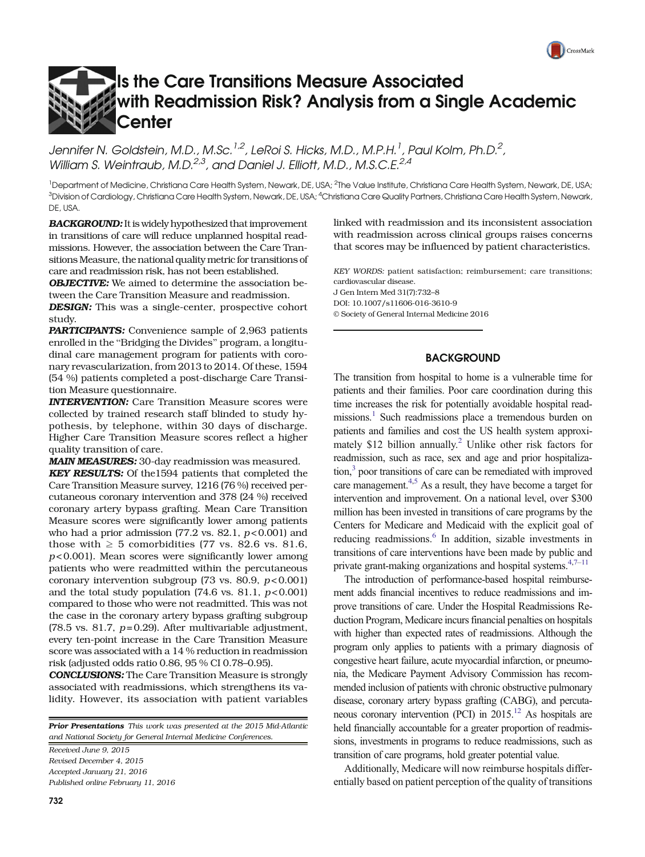# $\Gamma$ CrossMark

# Is the Care Transitions Measure Associated with Readmission Risk? Analysis from a Single Academic **Center**

Jennifer N, Goldstein, M.D., M.Sc.<sup>1,2</sup>, LeRoi S, Hicks, M.D., M.P.H.<sup>1</sup>, Paul Kolm, Ph.D.<sup>2</sup>, William S. Weintraub, M.D.<sup>2,3</sup>, and Daniel J. Elliott, M.D., M.S.C.E.<sup>2,4</sup>

<sup>1</sup>Department of Medicine, Christiana Care Health System, Newark, DE, USA; <sup>2</sup>The Value Institute, Christiana Care Health System, Newark, DE, USA; <sup>3</sup>Division of Cardiology, Christiana Care Health System, Newark, DE, USA; <sup>4</sup>Christiana Care Quality Partners, Christiana Care Health System, Newark, DE, USA.

BACKGROUND: It is widely hypothesized that improvement in transitions of care will reduce unplanned hospital readmissions. However, the association between the Care Transitions Measure, the national quality metric for transitions of care and readmission risk, has not been established.

**OBJECTIVE:** We aimed to determine the association between the Care Transition Measure and readmission.

DESIGN: This was a single-center, prospective cohort study.

PARTICIPANTS: Convenience sample of 2,963 patients enrolled in the "Bridging the Divides" program, a longitudinal care management program for patients with coronary revascularization, from 2013 to 2014. Of these, 1594 (54 %) patients completed a post-discharge Care Transition Measure questionnaire.

INTERVENTION: Care Transition Measure scores were collected by trained research staff blinded to study hypothesis, by telephone, within 30 days of discharge. Higher Care Transition Measure scores reflect a higher quality transition of care.

MAIN MEASURES: 30-day readmission was measured.

**KEY RESULTS:** Of the1594 patients that completed the Care Transition Measure survey, 1216 (76 %) received percutaneous coronary intervention and 378 (24 %) received coronary artery bypass grafting. Mean Care Transition Measure scores were significantly lower among patients who had a prior admission  $(77.2 \text{ vs. } 82.1, p<0.001)$  and those with  $\geq 5$  comorbidities (77 vs. 82.6 vs. 81.6,  $p$ <0.001). Mean scores were significantly lower among patients who were readmitted within the percutaneous coronary intervention subgroup (73 vs. 80.9,  $p < 0.001$ ) and the total study population  $(74.6 \text{ vs. } 81.1, p < 0.001)$ compared to those who were not readmitted. This was not the case in the coronary artery bypass grafting subgroup (78.5 vs. 81.7,  $p=0.29$ ). After multivariable adjustment, every ten-point increase in the Care Transition Measure score was associated with a 14 % reduction in readmission risk (adjusted odds ratio 0.86, 95 % CI 0.78–0.95).

CONCLUSIONS: The Care Transition Measure is strongly associated with readmissions, which strengthens its validity. However, its association with patient variables

**Prior Presentations** This work was presented at the 2015 Mid-Atlantic and National Society for General Internal Medicine Conferences.

Received June 9, 2015 Revised December 4, 2015 Accepted January 21, 2016 Published online February 11, 2016

732

linked with readmission and its inconsistent association with readmission across clinical groups raises concerns that scores may be influenced by patient characteristics.

KEY WORDS: patient satisfaction; reimbursement; care transitions; cardiovascular disease. J Gen Intern Med 31(7):732–8 DOI: 10.1007/s11606-016-3610-9

© Society of General Internal Medicine 2016

### **BACKGROUND**

The transition from hospital to home is a vulnerable time for patients and their families. Poor care coordination during this time increases the risk for potentially avoidable hospital readmissions.<sup>1</sup> Such readmissions place a tremendous burden on patients and families and cost the US health system approximately  $$12$  billion annually.<sup>2</sup> Unlike other risk factors for readmission, such as race, sex and age and prior hospitaliza- $\frac{1}{2}$  poor transitions of care can be remediated with improved care management.<sup>4,5</sup> As a result, they have become a target for intervention and improvement. On a national level, over \$300 million has been invested in transitions of care programs by the Centers for Medicare and Medicaid with the explicit goal of reducing readmissions.<sup>6</sup> In addition, sizable investments in transitions of care interventions have been made by public and private grant-making organizations and hospital systems. $4,7-11$  $4,7-11$  $4,7-11$  $4,7-11$  $4,7-11$ 

The introduction of performance-based hospital reimbursement adds financial incentives to reduce readmissions and improve transitions of care. Under the Hospital Readmissions Reduction Program, Medicare incurs financial penalties on hospitals with higher than expected rates of readmissions. Although the program only applies to patients with a primary diagnosis of congestive heart failure, acute myocardial infarction, or pneumonia, the Medicare Payment Advisory Commission has recommended inclusion of patients with chronic obstructive pulmonary disease, coronary artery bypass grafting (CABG), and percutaneous coronary intervention (PCI) in  $2015$ .<sup>12</sup> As hospitals are held financially accountable for a greater proportion of readmissions, investments in programs to reduce readmissions, such as transition of care programs, hold greater potential value.

Additionally, Medicare will now reimburse hospitals differentially based on patient perception of the quality of transitions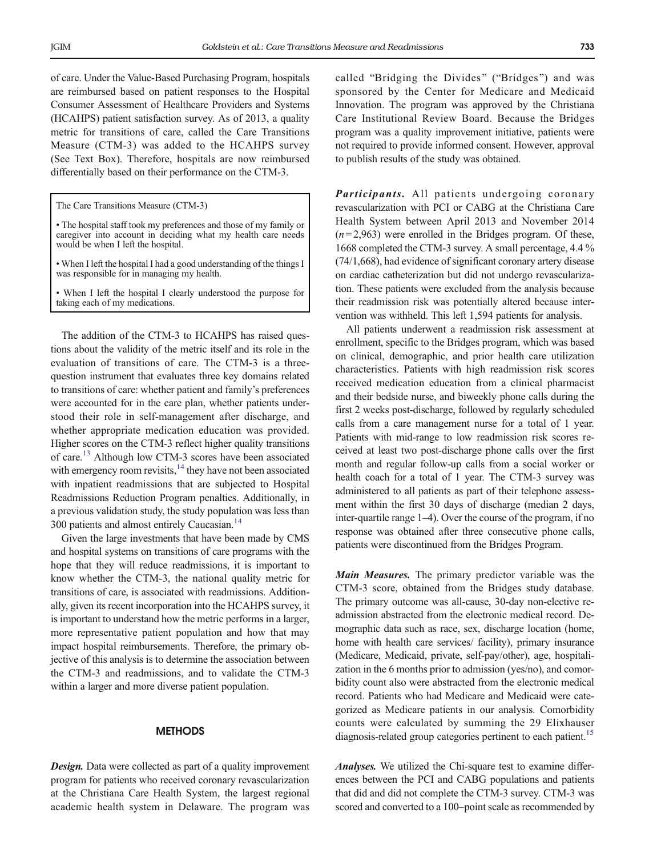of care. Under the Value-Based Purchasing Program, hospitals are reimbursed based on patient responses to the Hospital Consumer Assessment of Healthcare Providers and Systems (HCAHPS) patient satisfaction survey. As of 2013, a quality metric for transitions of care, called the Care Transitions Measure (CTM-3) was added to the HCAHPS survey (See Text Box). Therefore, hospitals are now reimbursed differentially based on their performance on the CTM-3.

The Care Transitions Measure (CTM-3)

• The hospital staff took my preferences and those of my family or caregiver into account in deciding what my health care needs would be when I left the hospital.

• When I left the hospital I had a good understanding of the things I was responsible for in managing my health.

When I left the hospital I clearly understood the purpose for taking each of my medications.

The addition of the CTM-3 to HCAHPS has raised questions about the validity of the metric itself and its role in the evaluation of transitions of care. The CTM-3 is a threequestion instrument that evaluates three key domains related to transitions of care: whether patient and family's preferences were accounted for in the care plan, whether patients understood their role in self-management after discharge, and whether appropriate medication education was provided. Higher scores on the CTM-3 reflect higher quality transitions of care[.13](#page-5-0) Although low CTM-3 scores have been associated with emergency room revisits, $14$  they have not been associated with inpatient readmissions that are subjected to Hospital Readmissions Reduction Program penalties. Additionally, in a previous validation study, the study population was less than 300 patients and almost entirely Caucasian.<sup>14</sup>

Given the large investments that have been made by CMS and hospital systems on transitions of care programs with the hope that they will reduce readmissions, it is important to know whether the CTM-3, the national quality metric for transitions of care, is associated with readmissions. Additionally, given its recent incorporation into the HCAHPS survey, it is important to understand how the metric performs in a larger, more representative patient population and how that may impact hospital reimbursements. Therefore, the primary objective of this analysis is to determine the association between the CTM-3 and readmissions, and to validate the CTM-3 within a larger and more diverse patient population.

### **METHODS**

**Design.** Data were collected as part of a quality improvement program for patients who received coronary revascularization at the Christiana Care Health System, the largest regional academic health system in Delaware. The program was

called "Bridging the Divides" ("Bridges") and was sponsored by the Center for Medicare and Medicaid Innovation. The program was approved by the Christiana Care Institutional Review Board. Because the Bridges program was a quality improvement initiative, patients were not required to provide informed consent. However, approval to publish results of the study was obtained.

Participants. All patients undergoing coronary revascularization with PCI or CABG at the Christiana Care Health System between April 2013 and November 2014  $(n=2,963)$  were enrolled in the Bridges program. Of these, 1668 completed the CTM-3 survey. A small percentage, 4.4 % (74/1,668), had evidence of significant coronary artery disease on cardiac catheterization but did not undergo revascularization. These patients were excluded from the analysis because their readmission risk was potentially altered because intervention was withheld. This left 1,594 patients for analysis.

All patients underwent a readmission risk assessment at enrollment, specific to the Bridges program, which was based on clinical, demographic, and prior health care utilization characteristics. Patients with high readmission risk scores received medication education from a clinical pharmacist and their bedside nurse, and biweekly phone calls during the first 2 weeks post-discharge, followed by regularly scheduled calls from a care management nurse for a total of 1 year. Patients with mid-range to low readmission risk scores received at least two post-discharge phone calls over the first month and regular follow-up calls from a social worker or health coach for a total of 1 year. The CTM-3 survey was administered to all patients as part of their telephone assessment within the first 30 days of discharge (median 2 days, inter-quartile range 1–4). Over the course of the program, if no response was obtained after three consecutive phone calls, patients were discontinued from the Bridges Program.

Main Measures. The primary predictor variable was the CTM-3 score, obtained from the Bridges study database. The primary outcome was all-cause, 30-day non-elective readmission abstracted from the electronic medical record. Demographic data such as race, sex, discharge location (home, home with health care services/ facility), primary insurance (Medicare, Medicaid, private, self-pay/other), age, hospitalization in the 6 months prior to admission (yes/no), and comorbidity count also were abstracted from the electronic medical record. Patients who had Medicare and Medicaid were categorized as Medicare patients in our analysis. Comorbidity counts were calculated by summing the 29 Elixhauser diagnosis-related group categories pertinent to each patient.<sup>15</sup>

Analyses. We utilized the Chi-square test to examine differences between the PCI and CABG populations and patients that did and did not complete the CTM-3 survey. CTM-3 was scored and converted to a 100–point scale as recommended by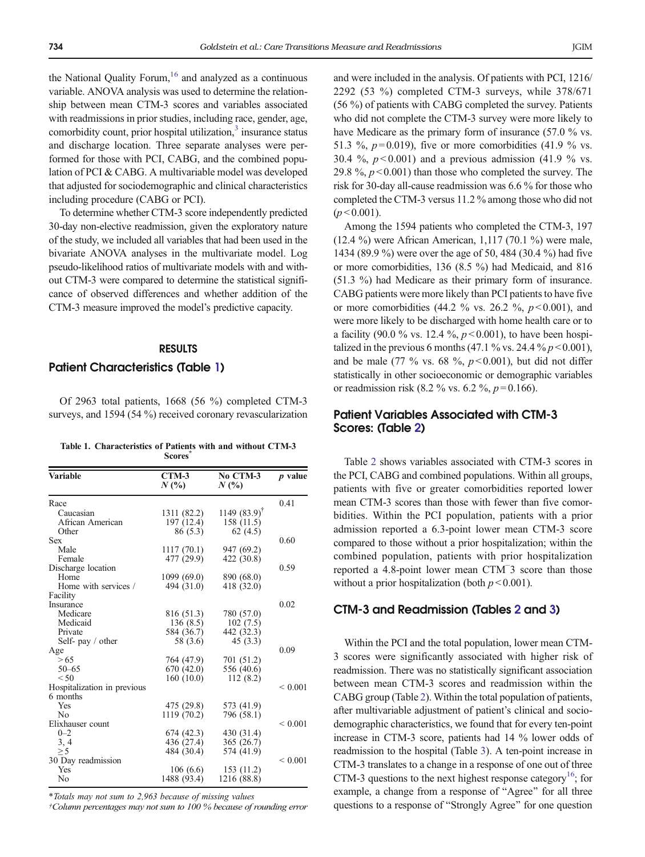the National Quality Forum,  $16$  and analyzed as a continuous variable. ANOVA analysis was used to determine the relationship between mean CTM-3 scores and variables associated with readmissions in prior studies, including race, gender, age, comorbidity count, prior hospital utilization,<sup>[3](#page-5-0)</sup> insurance status and discharge location. Three separate analyses were performed for those with PCI, CABG, and the combined population of PCI & CABG. A multivariable model was developed that adjusted for sociodemographic and clinical characteristics including procedure (CABG or PCI).

To determine whether CTM-3 score independently predicted 30-day non-elective readmission, given the exploratory nature of the study, we included all variables that had been used in the bivariate ANOVA analyses in the multivariate model. Log pseudo-likelihood ratios of multivariate models with and without CTM-3 were compared to determine the statistical significance of observed differences and whether addition of the CTM-3 measure improved the model's predictive capacity.

### RESULTS

### Patient Characteristics (Table 1)

Of 2963 total patients, 1668 (56 %) completed CTM-3 surveys, and 1594 (54 %) received coronary revascularization

| Table 1. Characteristics of Patients with and without CTM-3 |               |  |  |
|-------------------------------------------------------------|---------------|--|--|
|                                                             | <b>Scores</b> |  |  |

| <b>Variable</b>             | $CTM-3$<br>$N($ %) | No CTM-3<br>$N($ %)        | $p$ value    |
|-----------------------------|--------------------|----------------------------|--------------|
| Race                        |                    |                            | 0.41         |
| Caucasian                   | 1311 (82.2)        | 1149 $(83.9)$ <sup>T</sup> |              |
| African American            | 197 (12.4)         | 158 (11.5)                 |              |
| Other                       | 86(5.3)            | 62(4.5)                    |              |
| Sex                         |                    |                            | 0.60         |
| Male                        | 1117(70.1)         | 947 (69.2)                 |              |
| Female                      | 477 (29.9)         | 422 (30.8)                 |              |
| Discharge location          |                    |                            | 0.59         |
| Home                        | 1099(69.0)         | 890 (68.0)                 |              |
| Home with services /        | 494 (31.0)         | 418 (32.0)                 |              |
| Facility                    |                    |                            |              |
| Insurance                   |                    |                            | 0.02         |
| Medicare                    | 816 (51.3)         | 780 (57.0)                 |              |
| Medicaid                    | 136 (8.5)          | 102(7.5)                   |              |
| Private                     | 584 (36.7)         | 442 (32.3)                 |              |
| Self- pay / other           | 58 (3.6)           | 45 (3.3)                   |              |
| Age                         |                    |                            | 0.09         |
| > 65                        | 764 (47.9)         | 701 (51.2)                 |              |
| $50 - 65$                   | 670 (42.0)         | 556 (40.6)                 |              |
| < 50                        | 160(10.0)          | 112(8.2)                   |              |
| Hospitalization in previous |                    |                            | ${}_{0.001}$ |
| 6 months                    |                    |                            |              |
| Yes                         | 475 (29.8)         | 573 (41.9)                 |              |
| N <sub>0</sub>              | 1119 (70.2)        | 796 (58.1)                 |              |
| Elixhauser count            |                    |                            | ${}< 0.001$  |
| $0 - 2$                     | 674 (42.3)         | 430 (31.4)                 |              |
| 3, 4                        | 436 (27.4)         | 365 (26.7)                 |              |
| $\geq 5$                    | 484 (30.4)         | 574 (41.9)                 |              |
| 30 Day readmission          |                    |                            | ${}< 0.001$  |
| Yes                         | 106(6.6)           | 153 (11.2)                 |              |
| No                          | 1488 (93.4)        | 1216 (88.8)                |              |

\*Totals may not sum to 2,963 because of missing values

†Column percentages may not sum to 100 % because of rounding error

and were included in the analysis. Of patients with PCI, 1216/ 2292 (53 %) completed CTM-3 surveys, while 378/671 (56 %) of patients with CABG completed the survey. Patients who did not complete the CTM-3 survey were more likely to have Medicare as the primary form of insurance (57.0 % vs. 51.3 %,  $p = 0.019$ ), five or more comorbidities (41.9 % vs. 30.4 %,  $p < 0.001$ ) and a previous admission (41.9 % vs. 29.8 %,  $p < 0.001$ ) than those who completed the survey. The risk for 30-day all-cause readmission was 6.6 % for those who completed the CTM-3 versus 11.2 % among those who did not  $(p < 0.001)$ .

Among the 1594 patients who completed the CTM-3, 197 (12.4 %) were African American, 1,117 (70.1 %) were male, 1434 (89.9 %) were over the age of 50, 484 (30.4 %) had five or more comorbidities, 136 (8.5 %) had Medicaid, and 816 (51.3 %) had Medicare as their primary form of insurance. CABG patients were more likely than PCI patients to have five or more comorbidities (44.2 % vs. 26.2 %,  $p < 0.001$ ), and were more likely to be discharged with home health care or to a facility (90.0 % vs. 12.4 %,  $p < 0.001$ ), to have been hospitalized in the previous 6 months (47.1 % vs. 24.4 %  $p < 0.001$ ), and be male (77 % vs. 68 %,  $p < 0.001$ ), but did not differ statistically in other socioeconomic or demographic variables or readmission risk (8.2 % vs. 6.2 %,  $p = 0.166$ ).

### Patient Variables Associated with CTM-3 Scores: (Table [2\)](#page-3-0)

Table [2](#page-3-0) shows variables associated with CTM-3 scores in the PCI, CABG and combined populations. Within all groups, patients with five or greater comorbidities reported lower mean CTM-3 scores than those with fewer than five comorbidities. Within the PCI population, patients with a prior admission reported a 6.3-point lower mean CTM-3 score compared to those without a prior hospitalization; within the combined population, patients with prior hospitalization reported a 4.8-point lower mean CTM<sup>−</sup> 3 score than those without a prior hospitalization (both  $p < 0.001$ ).

### CTM-3 and Readmission (Tables [2](#page-3-0) and [3](#page-3-0))

Within the PCI and the total population, lower mean CTM-3 scores were significantly associated with higher risk of readmission. There was no statistically significant association between mean CTM-3 scores and readmission within the CABG group (Table [2](#page-3-0)). Within the total population of patients, after multivariable adjustment of patient's clinical and sociodemographic characteristics, we found that for every ten-point increase in CTM-3 score, patients had 14 % lower odds of readmission to the hospital (Table [3\)](#page-3-0). A ten-point increase in CTM-3 translates to a change in a response of one out of three CTM-3 questions to the next highest response category<sup>16</sup>; for example, a change from a response of "Agree" for all three questions to a response of "Strongly Agree" for one question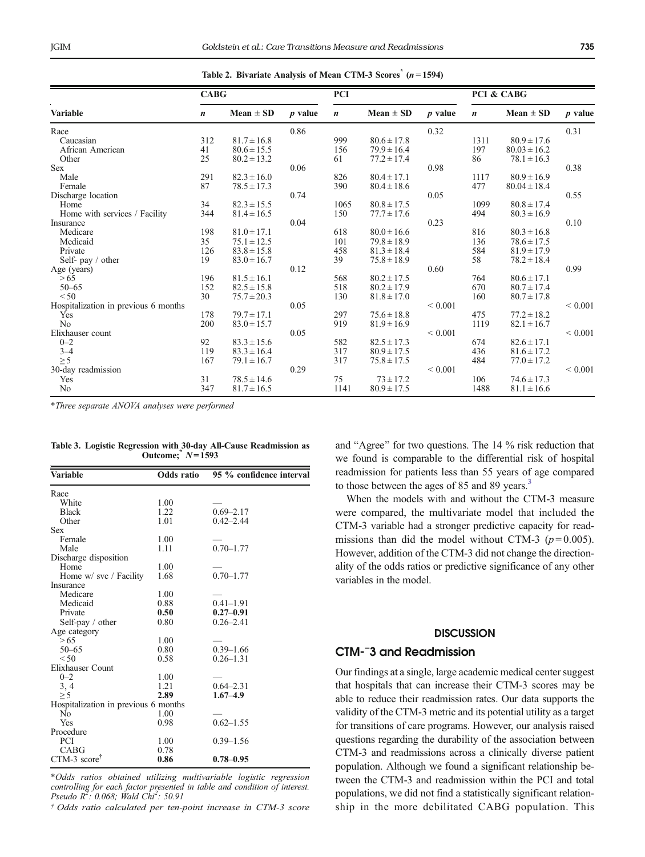<span id="page-3-0"></span>

|                                      | <b>CABG</b>      |                 |           | <b>PCI</b>       |                 |                | PCI & CABG       |                  |             |
|--------------------------------------|------------------|-----------------|-----------|------------------|-----------------|----------------|------------------|------------------|-------------|
| <b>Variable</b>                      | $\boldsymbol{n}$ | Mean $\pm$ SD   | $p$ value | $\boldsymbol{n}$ | $Mean \pm SD$   | <i>p</i> value | $\boldsymbol{n}$ | Mean $\pm$ SD    | $p$ value   |
| Race                                 |                  |                 | 0.86      |                  |                 | 0.32           |                  |                  | 0.31        |
| Caucasian                            | 312              | $81.7 \pm 16.8$ |           | 999              | $80.6 \pm 17.8$ |                | 1311             | $80.9 \pm 17.6$  |             |
| African American                     | 41               | $80.6 \pm 15.5$ |           | 156              | $79.9 \pm 16.4$ |                | 197              | $80.03 \pm 16.2$ |             |
| Other                                | 25               | $80.2 \pm 13.2$ |           | 61               | $77.2 \pm 17.4$ |                | 86               | $78.1 \pm 16.3$  |             |
| <b>Sex</b>                           |                  |                 | 0.06      |                  |                 | 0.98           |                  |                  | 0.38        |
| Male                                 | 291              | $82.3 \pm 16.0$ |           | 826              | $80.4 \pm 17.1$ |                | 1117             | $80.9 \pm 16.9$  |             |
| Female                               | 87               | $78.5 \pm 17.3$ |           | 390              | $80.4 \pm 18.6$ |                | 477              | $80.04 \pm 18.4$ |             |
| Discharge location                   |                  |                 | 0.74      |                  |                 | 0.05           |                  |                  | 0.55        |
| Home                                 | 34               | $82.3 \pm 15.5$ |           | 1065             | $80.8 \pm 17.5$ |                | 1099             | $80.8 \pm 17.4$  |             |
| Home with services / Facility        | 344              | $81.4 \pm 16.5$ |           | 150              | $77.7 \pm 17.6$ |                | 494              | $80.3 \pm 16.9$  |             |
| Insurance                            |                  |                 | 0.04      |                  |                 | 0.23           |                  |                  | 0.10        |
| Medicare                             | 198              | $81.0 \pm 17.1$ |           | 618              | $80.0 \pm 16.6$ |                | 816              | $80.3 \pm 16.8$  |             |
| Medicaid                             | 35               | $75.1 \pm 12.5$ |           | 101              | $79.8 \pm 18.9$ |                | 136              | $78.6 \pm 17.5$  |             |
| Private                              | 126              | $83.8 \pm 15.8$ |           | 458              | $81.3 \pm 18.4$ |                | 584              | $81.9 \pm 17.9$  |             |
| Self- pay / other                    | 19               | $83.0 \pm 16.7$ |           | 39               | $75.8 \pm 18.9$ |                | 58               | $78.2 \pm 18.4$  |             |
| Age (years)                          |                  |                 | 0.12      |                  |                 | 0.60           |                  |                  | 0.99        |
| > 65                                 | 196              | $81.5 \pm 16.1$ |           | 568              | $80.2 \pm 17.5$ |                | 764              | $80.6 \pm 17.1$  |             |
| $50 - 65$                            | 152              | $82.5 \pm 15.8$ |           | 518              | $80.2 \pm 17.9$ |                | 670              | $80.7 \pm 17.4$  |             |
| < 50                                 | 30               | $75.7 \pm 20.3$ |           | 130              | $81.8 \pm 17.0$ |                | 160              | $80.7 \pm 17.8$  |             |
| Hospitalization in previous 6 months |                  |                 | 0.05      |                  |                 | ${}< 0.001$    |                  |                  | ${}< 0.001$ |
| Yes                                  | 178              | $79.7 \pm 17.1$ |           | 297              | $75.6 \pm 18.8$ |                | 475              | $77.2 \pm 18.2$  |             |
| N <sub>o</sub>                       | 200              | $83.0 \pm 15.7$ |           | 919              | $81.9 \pm 16.9$ |                | 1119             | $82.1 \pm 16.7$  |             |
| Elixhauser count                     |                  |                 | 0.05      |                  |                 | ${}< 0.001$    |                  |                  | ${}< 0.001$ |
| $0 - 2$                              | 92               | $83.3 \pm 15.6$ |           | 582              | $82.5 \pm 17.3$ |                | 674              | $82.6 \pm 17.1$  |             |
| $3 - 4$                              | 119              | $83.3 \pm 16.4$ |           | 317              | $80.9 \pm 17.5$ |                | 436              | $81.6 \pm 17.2$  |             |
| $\geq 5$                             | 167              | $79.1 \pm 16.7$ |           | 317              | $75.8 \pm 17.5$ |                | 484              | $77.0 \pm 17.2$  |             |
| 30-day readmission                   |                  |                 | 0.29      |                  |                 | ${}< 0.001$    |                  |                  | ${}< 0.001$ |
| Yes                                  | 31               | $78.5 \pm 14.6$ |           | 75               | $73 \pm 17.2$   |                | 106              | $74.6 \pm 17.3$  |             |
| No                                   | 347              | $81.7 \pm 16.5$ |           | 1141             | $80.9 \pm 17.5$ |                | 1488             | $81.1 \pm 16.6$  |             |

Table 2. Bivariate Analysis of Mean CTM-3 Scores<sup>\*</sup>  $(n=1594)$ 

\*Three separate ANOVA analyses were performed

|                   |  |  |  |  |  | Table 3. Logistic Regression with 30-day All-Cause Readmission as |  |
|-------------------|--|--|--|--|--|-------------------------------------------------------------------|--|
| Outcome; $N=1593$ |  |  |  |  |  |                                                                   |  |
|                   |  |  |  |  |  |                                                                   |  |

| Variable                                           | Odds ratio | 95 % confidence interval |
|----------------------------------------------------|------------|--------------------------|
| Race                                               |            |                          |
| White                                              | 1.00       |                          |
| <b>Black</b>                                       | 1.22       | $0.69 - 2.17$            |
| Other                                              | 1.01       | $0.42 - 2.44$            |
| Sex                                                |            |                          |
| Female                                             | 1.00       |                          |
| Male                                               | 1.11       | $0.70 - 1.77$            |
| Discharge disposition                              |            |                          |
| Home                                               | 1.00       |                          |
| Home w/ svc / Facility                             | 1.68       | $0.70 - 1.77$            |
| Insurance                                          |            |                          |
| Medicare                                           | 1.00       |                          |
| Medicaid                                           | 0.88       | $0.41 - 1.91$            |
| Private                                            | 0.50       | $0.27 - 0.91$            |
| Self-pay $/$ other                                 | 0.80       | $0.26 - 2.41$            |
| Age category                                       |            |                          |
| > 65                                               | 1.00       |                          |
| $50 - 65$                                          | 0.80       | $0.39 - 1.66$            |
| ${}_{50}$                                          | 0.58       | $0.26 - 1.31$            |
| Elixhauser Count                                   |            |                          |
| $0 - 2$                                            | 1.00       |                          |
| 3, 4                                               | 1.21       | $0.64 - 2.31$            |
| $\geq$ 5                                           | 2.89       | $1.67 - 4.9$             |
| Hospitalization in previous 6 months               |            |                          |
| No                                                 | 1.00       |                          |
| Yes                                                | 0.98       | $0.62 - 1.55$            |
| Procedure                                          |            |                          |
| PCI                                                | 1.00       | $0.39 - 1.56$            |
| CABG                                               | 0.78       |                          |
| $CTM-3$ score <sup><math>\overline{ }</math></sup> | 0.86       | $0.78 - 0.95$            |

\*Odds ratios obtained utilizing multivariable logistic regression controlling for each factor presented in table and condition of interest. Pseudo  $R^2$ : 0.068; Wald Chi<sup>2</sup>: 50.91

† Odds ratio calculated per ten-point increase in CTM-3 score

and "Agree" for two questions. The  $14$  % risk reduction that we found is comparable to the differential risk of hospital readmission for patients less than 55 years of age compared to those between the ages of 85 and 89 years.<sup>[3](#page-5-0)</sup>

When the models with and without the CTM-3 measure were compared, the multivariate model that included the CTM-3 variable had a stronger predictive capacity for readmissions than did the model without CTM-3 ( $p = 0.005$ ). However, addition of the CTM-3 did not change the directionality of the odds ratios or predictive significance of any other variables in the model.

# **DISCUSSION**

# CTM-<sup>−</sup> 3 and Readmission

Our findings at a single, large academic medical center suggest that hospitals that can increase their CTM-3 scores may be able to reduce their readmission rates. Our data supports the validity of the CTM-3 metric and its potential utility as a target for transitions of care programs. However, our analysis raised questions regarding the durability of the association between CTM-3 and readmissions across a clinically diverse patient population. Although we found a significant relationship between the CTM-3 and readmission within the PCI and total populations, we did not find a statistically significant relationship in the more debilitated CABG population. This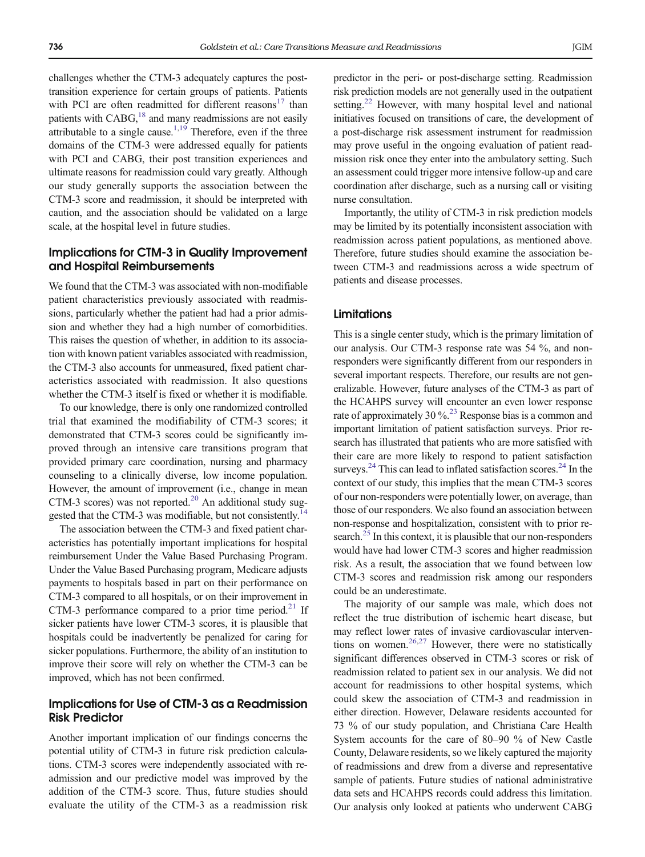challenges whether the CTM-3 adequately captures the posttransition experience for certain groups of patients. Patients with PCI are often readmitted for different reasons $17$  than patients with  $CABG<sub>18</sub>$  and many readmissions are not easily attributable to a single cause.<sup>1,19</sup> Therefore, even if the three domains of the CTM-3 were addressed equally for patients with PCI and CABG, their post transition experiences and ultimate reasons for readmission could vary greatly. Although our study generally supports the association between the CTM-3 score and readmission, it should be interpreted with caution, and the association should be validated on a large scale, at the hospital level in future studies.

# Implications for CTM-3 in Quality Improvement and Hospital Reimbursements

We found that the CTM-3 was associated with non-modifiable patient characteristics previously associated with readmissions, particularly whether the patient had had a prior admission and whether they had a high number of comorbidities. This raises the question of whether, in addition to its association with known patient variables associated with readmission, the CTM-3 also accounts for unmeasured, fixed patient characteristics associated with readmission. It also questions whether the CTM-3 itself is fixed or whether it is modifiable.

To our knowledge, there is only one randomized controlled trial that examined the modifiability of CTM-3 scores; it demonstrated that CTM-3 scores could be significantly improved through an intensive care transitions program that provided primary care coordination, nursing and pharmacy counseling to a clinically diverse, low income population. However, the amount of improvement (i.e., change in mean CTM-3 scores) was not reported. $20$  An additional study sug-gested that the CTM-3 was modifiable, but not consistently.<sup>[14](#page-5-0)</sup>

The association between the CTM-3 and fixed patient characteristics has potentially important implications for hospital reimbursement Under the Value Based Purchasing Program. Under the Value Based Purchasing program, Medicare adjusts payments to hospitals based in part on their performance on CTM-3 compared to all hospitals, or on their improvement in CTM-3 performance compared to a prior time period.<sup>21</sup> If sicker patients have lower CTM-3 scores, it is plausible that hospitals could be inadvertently be penalized for caring for sicker populations. Furthermore, the ability of an institution to improve their score will rely on whether the CTM-3 can be improved, which has not been confirmed.

# Implications for Use of CTM-3 as a Readmission Risk Predictor

Another important implication of our findings concerns the potential utility of CTM-3 in future risk prediction calculations. CTM-3 scores were independently associated with readmission and our predictive model was improved by the addition of the CTM-3 score. Thus, future studies should evaluate the utility of the CTM-3 as a readmission risk predictor in the peri- or post-discharge setting. Readmission risk prediction models are not generally used in the outpatient setting.<sup>[22](#page-6-0)</sup> However, with many hospital level and national initiatives focused on transitions of care, the development of a post-discharge risk assessment instrument for readmission may prove useful in the ongoing evaluation of patient readmission risk once they enter into the ambulatory setting. Such an assessment could trigger more intensive follow-up and care coordination after discharge, such as a nursing call or visiting nurse consultation.

Importantly, the utility of CTM-3 in risk prediction models may be limited by its potentially inconsistent association with readmission across patient populations, as mentioned above. Therefore, future studies should examine the association between CTM-3 and readmissions across a wide spectrum of patients and disease processes.

### **Limitations**

This is a single center study, which is the primary limitation of our analysis. Our CTM-3 response rate was 54 %, and nonresponders were significantly different from our responders in several important respects. Therefore, our results are not generalizable. However, future analyses of the CTM-3 as part of the HCAHPS survey will encounter an even lower response rate of approximately 30  $\%$ <sup>23</sup> Response bias is a common and important limitation of patient satisfaction surveys. Prior research has illustrated that patients who are more satisfied with their care are more likely to respond to patient satisfaction surveys.<sup>[24](#page-6-0)</sup> This can lead to inflated satisfaction scores.<sup>24</sup> In the context of our study, this implies that the mean CTM-3 scores of our non-responders were potentially lower, on average, than those of our responders. We also found an association between non-response and hospitalization, consistent with to prior research. $^{25}$  In this context, it is plausible that our non-responders would have had lower CTM-3 scores and higher readmission risk. As a result, the association that we found between low CTM-3 scores and readmission risk among our responders could be an underestimate.

The majority of our sample was male, which does not reflect the true distribution of ischemic heart disease, but may reflect lower rates of invasive cardiovascular interventions on women.<sup>26,27</sup> However, there were no statistically significant differences observed in CTM-3 scores or risk of readmission related to patient sex in our analysis. We did not account for readmissions to other hospital systems, which could skew the association of CTM-3 and readmission in either direction. However, Delaware residents accounted for 73 % of our study population, and Christiana Care Health System accounts for the care of 80–90 % of New Castle County, Delaware residents, so we likely captured the majority of readmissions and drew from a diverse and representative sample of patients. Future studies of national administrative data sets and HCAHPS records could address this limitation. Our analysis only looked at patients who underwent CABG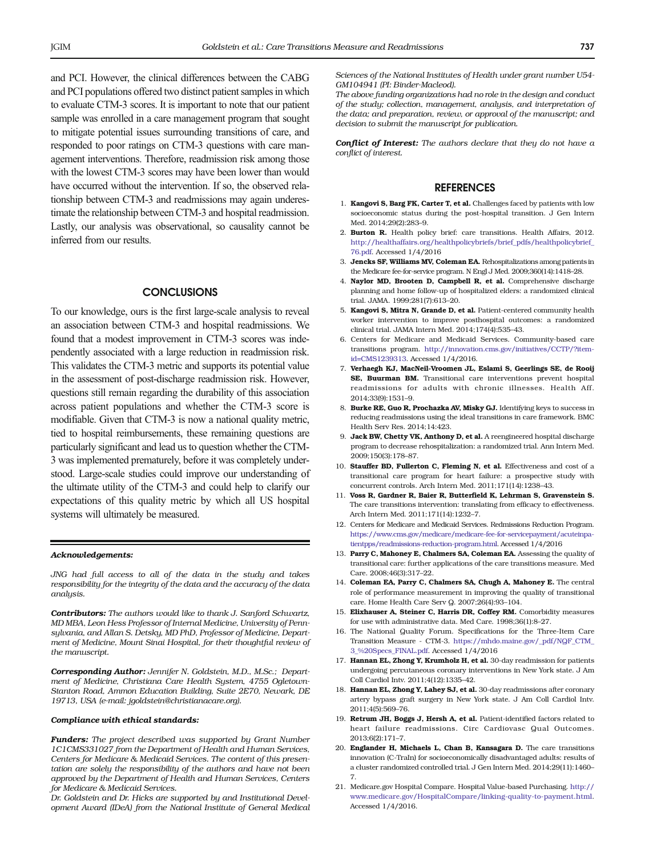<span id="page-5-0"></span>and PCI. However, the clinical differences between the CABG and PCI populations offered two distinct patient samples in which to evaluate CTM-3 scores. It is important to note that our patient sample was enrolled in a care management program that sought to mitigate potential issues surrounding transitions of care, and responded to poor ratings on CTM-3 questions with care management interventions. Therefore, readmission risk among those with the lowest CTM-3 scores may have been lower than would have occurred without the intervention. If so, the observed relationship between CTM-3 and readmissions may again underestimate the relationship between CTM-3 and hospital readmission. Lastly, our analysis was observational, so causality cannot be inferred from our results.

### **CONCLUSIONS**

To our knowledge, ours is the first large-scale analysis to reveal an association between CTM-3 and hospital readmissions. We found that a modest improvement in CTM-3 scores was independently associated with a large reduction in readmission risk. This validates the CTM-3 metric and supports its potential value in the assessment of post-discharge readmission risk. However, questions still remain regarding the durability of this association across patient populations and whether the CTM-3 score is modifiable. Given that CTM-3 is now a national quality metric, tied to hospital reimbursements, these remaining questions are particularly significant and lead us to question whether the CTM-3 was implemented prematurely, before it was completely understood. Large-scale studies could improve our understanding of the ultimate utility of the CTM-3 and could help to clarify our expectations of this quality metric by which all US hospital systems will ultimately be measured.

#### Acknowledgements:

JNG had full access to all of the data in the study and takes responsibility for the integrity of the data and the accuracy of the data analusis.

Contributors: The authors would like to thank J. Sanford Schwartz, MD MBA, Leon Hess Professor of Internal Medicine, University of Pennsylvania, and Allan S. Detsky, MD PhD, Professor of Medicine, Department of Medicine, Mount Sinai Hospital, for their thoughtful review of the manuscript.

Corresponding Author: Jennifer N. Goldstein, M.D., M.Sc.; Department of Medicine, Christiana Care Health System, 4755 Ogletown-Stanton Road, Ammon Education Building, Suite 2E70, Newark, DE 19713, USA (e-mail: jgoldstein@christianacare.org).

### Compliance with ethical standards:

Funders: The project described was supported by Grant Number 1C1CMS331027 from the Department of Health and Human Services, Centers for Medicare & Medicaid Services. The content of this presentation are solely the responsibility of the authors and have not been approved by the Department of Health and Human Services, Centers for Medicare & Medicaid Services.

Dr. Goldstein and Dr. Hicks are supported by and Institutional Development Award (IDeA) from the National Institute of General Medical Sciences of the National Institutes of Health under grant number U54- GM104941 (PI: Binder-Macleod).

The above funding organizations had no role in the design and conduct of the study; collection, management, analysis, and interpretation of the data; and preparation, review, or approval of the manuscript; and decision to submit the manuscript for publication.

Conflict of Interest: The authors declare that they do not have a conflict of interest.

### **REFERENCES**

- 1. Kangovi S. Barg FK. Carter T. et al. Challenges faced by patients with low socioeconomic status during the post-hospital transition. J Gen Intern Med. 2014;29(2):283–9.
- 2. Burton R. Health policy brief: care transitions. Health Affairs, 2012. [http://healthaffairs.org/healthpolicybriefs/brief\\_pdfs/healthpolicybrief\\_](http://healthaffairs.org/healthpolicybriefs/brief_pdfs/healthpolicybrief_76.pdf) [76.pdf](http://healthaffairs.org/healthpolicybriefs/brief_pdfs/healthpolicybrief_76.pdf). Accessed 1/4/2016
- 3. Jencks SF, Williams MV, Coleman EA. Rehospitalizations among patients in the Medicare fee-for-service program. N Engl J Med. 2009;360(14):1418–28.
- 4. Naylor MD, Brooten D, Campbell R, et al. Comprehensive discharge planning and home follow-up of hospitalized elders: a randomized clinical trial. JAMA. 1999;281(7):613–20.
- 5. Kangovi S, Mitra N, Grande D, et al. Patient-centered community health worker intervention to improve posthospital outcomes: a randomized clinical trial. JAMA Intern Med. 2014;174(4):535–43.
- 6. Centers for Medicare and Medicaid Services. Community-based care transitions program. [http://innovation.cms.gov/initiatives/CCTP/?item](http://innovation.cms.gov/initiatives/CCTP/?itemid=CMS1239313)[id=CMS1239313](http://innovation.cms.gov/initiatives/CCTP/?itemid=CMS1239313). Accessed 1/4/2016.
- 7. Verhaegh KJ, MacNeil-Vroomen JL, Eslami S, Geerlings SE, de Rooij SE, Buurman BM. Transitional care interventions prevent hospital readmissions for adults with chronic illnesses. Health Aff. 2014;33(9):1531–9.
- 8. Burke RE, Guo R, Prochazka AV, Misky GJ. Identifying keys to success in reducing readmissions using the ideal transitions in care framework. BMC Health Serv Res. 2014;14:423.
- 9. Jack BW, Chetty VK, Anthony D, et al. A reengineered hospital discharge program to decrease rehospitalization: a randomized trial. Ann Intern Med. 2009;150(3):178–87.
- 10. Stauffer BD, Fullerton C, Fleming N, et al. Effectiveness and cost of a transitional care program for heart failure: a prospective study with concurrent controls. Arch Intern Med. 2011;171(14):1238–43.
- 11. Voss R, Gardner R, Baier R, Butterfield K, Lehrman S, Gravenstein S. The care transitions intervention: translating from efficacy to effectiveness. Arch Intern Med. 2011;171(14):1232–7.
- 12. Centers for Medicare and Medicaid Services. Redmissions Reduction Program. [https://www.cms.gov/medicare/medicare-fee-for-servicepayment/acuteinpa](https://www.cms.gov/medicare/medicare-fee-for-servicepayment/acuteinpatientpps/readmissions-reduction-program.html)[tientpps/readmissions-reduction-program.html](https://www.cms.gov/medicare/medicare-fee-for-servicepayment/acuteinpatientpps/readmissions-reduction-program.html). Accessed 1/4/2016
- 13. Parry C, Mahoney E, Chalmers SA, Coleman EA. Assessing the quality of transitional care: further applications of the care transitions measure. Med Care. 2008;46(3):317–22.
- 14. Coleman EA, Parry C, Chalmers SA, Chugh A, Mahoney E. The central role of performance measurement in improving the quality of transitional care. Home Health Care Serv Q. 2007;26(4):93–104.
- 15. Elixhauser A, Steiner C, Harris DR, Coffey RM. Comorbidity measures for use with administrative data. Med Care. 1998;36(1):8–27.
- 16. The National Quality Forum. Specifications for the Three-Item Care Transition Measure - CTM-3. [https://mhdo.maine.gov/\\_pdf/NQF\\_CTM\\_](https://mhdo.maine.gov/_pdf/NQF_CTM_3_%20Specs_FINAL.pdf) [3\\_%20Specs\\_FINAL.pdf](https://mhdo.maine.gov/_pdf/NQF_CTM_3_%20Specs_FINAL.pdf). Accessed 1/4/2016
- 17. Hannan EL, Zhong Y, Krumholz H, et al. 30-day readmission for patients undergoing percutaneous coronary interventions in New York state. J Am Coll Cardiol Intv. 2011;4(12):1335–42.
- 18. Hannan EL, Zhong Y, Lahey SJ, et al. 30-day readmissions after coronary artery bypass graft surgery in New York state. J Am Coll Cardiol Intv. 2011;4(5):569–76.
- 19. Retrum JH, Boggs J, Hersh A, et al. Patient-identified factors related to heart failure readmissions. Circ Cardiovasc Qual Outcomes. 2013;6(2):171–7.
- 20. Englander H, Michaels L, Chan B, Kansagara D. The care transitions innovation (C-TraIn) for socioeconomically disadvantaged adults: results of a cluster randomized controlled trial. J Gen Intern Med. 2014;29(11):1460– 7.
- 21. Medicare.gov Hospital Compare. Hospital Value-based Purchasing. [http://](http://www.medicare.gov/HospitalCompare/linking-quality-to-payment.html) [www.medicare.gov/HospitalCompare/linking-quality-to-payment.html.](http://www.medicare.gov/HospitalCompare/linking-quality-to-payment.html) Accessed 1/4/2016.